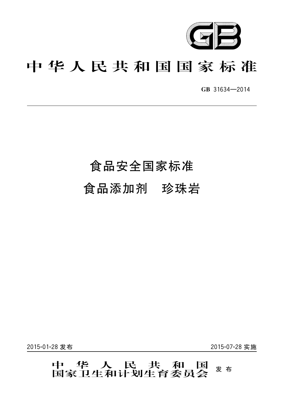

# 中华人民共和国国家标准

GB 31634-2014

# 食品安全国家标准

食品添加剂 珍珠岩

2015-01-28 发布

2015-07-28 实施

# 中 华 人 民 共 和 国<br>国家卫生和计划生育委员会 发布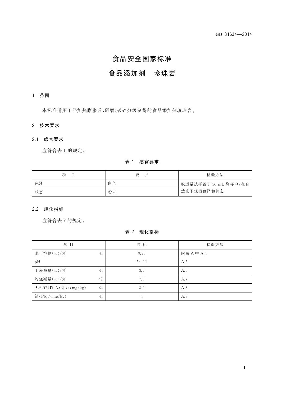# 食品安全国家标准

# 食品添加剂 珍珠岩

# 1 范围

本标准适用于经加热膨胀后,研磨、破碎分级制得的食品添加剂珍珠岩。

# 2 技术要求

# 2.1 感官要求

应符合表 1 的规定。

## 表 1 感官要求

| 项<br>目 | 要<br>求 | 检验方法                 |
|--------|--------|----------------------|
| 色泽     | 白色     | 取适量试样置于 50 mL 烧杯中,在自 |
| 状态     | 粉末     | 然光下观察色泽和状态           |

# 2.2 理化指标

应符合表 2 的规定。

# 表 2 理化指标

| 项目                  | 指标       | 检验方法       |
|---------------------|----------|------------|
| 水可溶物(w)/%           | 0.20     | 附录 A 中 A.4 |
| pH                  | $5 - 11$ | A.5        |
| 干燥减量(w)/%           | 3.0      | A.6        |
| 灼烧减量(w)/%           | 7.0      | A.7        |
| 无机砷(以 As 计)/(mg/kg) | 3.0      | A.8        |
| 铅 $(Pb)/(mg/kg)$    | 4        | A.9        |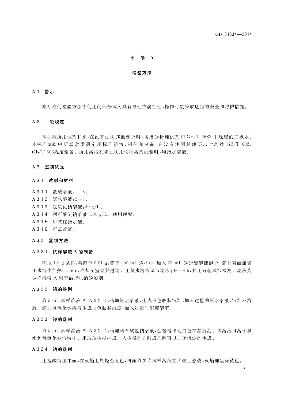# 附 录 A

#### 检验方法

#### A.1 警示

本标准的检验方法中使用的部分试剂具有毒性或腐蚀性,操作时应采取适当的安全和防护措施。

#### A.2 一般规定

本标准所用试剂和水,在没有注明其他要求时,均指分析纯试剂和 GB/T 6682 中规定的三级水。 本标准试验中所需杂质测定用标准溶液、制剂和制品,在没有注明其他要求时均按 GB/T 602、 GB/T 603规定制备。所用溶液在未注明用何种溶剂配制时,均指水溶液。

#### A.3 鉴别试验

#### A.3.1 试剂和材料

- A.3.1.1 盐酸溶液:1+3。
- A.3.1.2 氨水溶液:  $2+3$ 。
- A.3.1.3 氢氧化钠溶液: 40 g/L。
- A.3.1.4 酒石酸氢钠溶液:100 g/L。现用现配。
- A.3.1.5 甲基红指示液。
- A.3.1.6 石蕊试纸。

#### A.3.2 鉴别方法

#### A.3.2.1 试样溶液 A 的制备

称取 1.0 g试样,精确至 0.01 g,置于 100 mL 烧杯中,加入 25 mL 的盐酸溶液混合,盖上表面皿置 于水浴中加热 15 min, 冷却至室温并过滤。用氨水溶液调节滤液 pH=4.5, 并用石蕊试纸检测。滤液为 试样溶液 A 用于铝、钾、钠的鉴别。

# A.3.2.2 铝的鉴别

取 5 mL 试样溶液 A(A.3.2.1),滴加氨水溶液,生成白色胶状沉淀,加入过量的氨水溶液,沉淀不溶 解。滴加氢氧化钠溶液生成白色胶状沉淀,加入过量时沉淀溶解。

#### A.3.2.3 钾的鉴别

取 5 mL 试样溶液 A(A.3.2.1),滴加酒石酸氢钠溶液,会缓慢出现白色结晶沉淀。该溶液可溶于氨 水和氢氧化钠溶液中。用玻璃棒搅拌或加入少量的乙酸或乙醇可以加速沉淀的生成。

#### A.3.2.4 钠的鉴别

用盐酸润湿铂丝,在火焰上燃烧至无色,再蘸取少许试样溶液在火焰上燃烧,火焰即呈深黄色。

 $\overline{2}$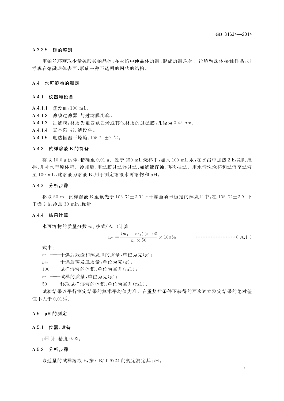## A.3.2.5 硅的鉴别

用铂丝环蘸取少量硫酸铵钠晶体,在火焰中使晶体熔融,形成熔融珠体。让熔融珠体接触样品,硅 浮现在熔融珠体表面,形成一种不透明的网状的结构。

#### A.4 水可溶物的测定

#### A.4.1 仪器和设备

- A.4.1.1 蒸发皿:100 mL。
- A.4.1.2 滤膜过滤器:与过滤膜配套。
- A.4.1.3 过滤膜: 材质为聚四氟乙烯或其他材质的过滤膜, 孔径为 0.45 µm。
- A.4.1.4 真空泵与过滤设备。
- A.4.1.5 电热恒温干燥箱:105 ℃±2 ℃。

### A.4.2 试样溶液 B 的制备

称取 10.0 g 试样,精确至 0.01 g。置于 250 mL 烧杯中,加入 100 mL 水,在水浴中加热 2 h,期间搅 拌,并补水至原体积。冷却后,用滤膜过滤器过滤,如滤液浑浊,再次抽滤。用水清洗烧杯和滤渣至滤液 至 100 mL,此溶液为溶液 B,用于测定溶液水可溶物和 pH。

#### A.4.3 分析步骤

移取 50 mL 试样溶液 B 至预先于 105 ℃ ± 2 ℃下干燥至质量恒定的蒸发皿中,在 105 ℃ ± 2 ℃下 干燥 2 h,冷却 30 min,称量。

#### A.4.4 结果计算

水可溶物的质量分数  $w_1$  按式(A.1)计算:

式中:

- 
- $m_2 \longrightarrow \rightarrow m_1$  一一十燥后蒸发皿质量, 单位为克(g);
- 100 -- 试样溶液的体积, 单位为毫升(mL);
- $m \longrightarrow \mathbb{R}$ 样的质量,单位为克(g);
- 50 ——移取试样溶液的体积,单位为毫升(mL)。

试验结果以平行测定结果的算术平均值为准。在重复性条件下获得的两次独立测定结果的绝对差 值不大于 0.01%。

#### A.5 pH 的测定

#### A.5.1 仪器、设备

pH 计:精度 0.02。

#### A.5.2 分析步骤

取适量的试样溶液 B,按 GB/T 9724 的规定测定其 pH。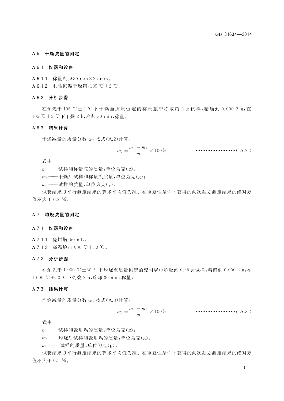#### A.6 干燥减量的测定

#### A.6.1 仪器和设备

A.6.1.1 称量瓶:  $\phi$ 30 mm × 25 mm。

A.6.1.2 电热恒温干燥箱:105 ℃±2 ℃。

#### A.6.2 分析步骤

在预先于105 ℃±2 ℃下干燥至质量恒定的称量瓶中称取约 2 g 试样,精确到 0.000 2 g,在 105 ℃±2 ℃下干燥 2 h,冷却 30 min,称量。

### A.6.3 结果计算

干燥减量的质量分数 w2 按式(A.2)计算:

式中:

 $m_1$  ——试样和称量瓶的质量,单位为克(g);

一干燥后试样和称量瓶质量,单位为克(g);  $m<sub>2</sub>$ 

 $m \longrightarrow$ 试样的质量,单位为克(g)。

试验结果以平行测定结果的算术平均值为准。在重复性条件下获得的两次独立测定结果的绝对差 值不大于 0.2 %。

#### A.7 灼烧减量的测定

#### A.7.1 仪器和设备

- A.7.1.1 瓷坩埚:50 mL。
- A.7.1.2 高温炉:1 000 ℃±50 ℃。

# A.7.2 分析步骤

在预先于1 000 ℃±50 ℃下灼烧至质量恒定的瓷坩埚中称取约 0.25 g 试样,精确到 0.000 2 g,在 1 000 ℃±50 ℃下灼烧 2 h,冷却 30 min,称量。

### A.7.3 结果计算

灼烧减量的质量分数  $w_3$  按式(A.3)计算:

式中:

 $m_1$  ——试样和瓷坩埚的质量,单位为克(g);

—灼烧后试样和瓷坩埚的质量,单位为克(g);  $m_2$  –

 $m \longrightarrow$ 试样的质量,单位为克(g)。

试验结果以平行测定结果的算术平均值为准。在重复性条件下获得的两次独立测定结果的绝对差 值不大于 0.5 %。